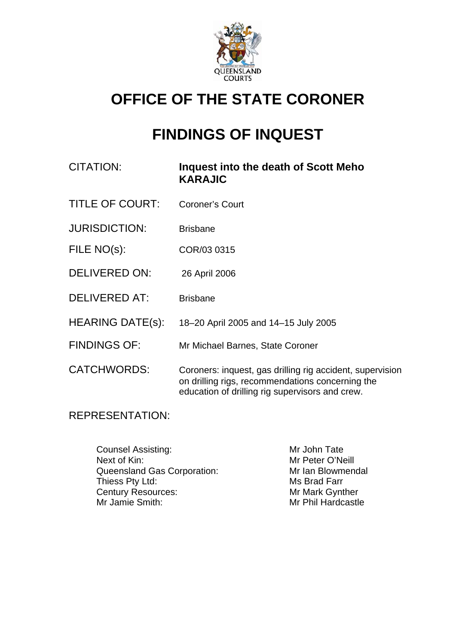

# **OFFICE OF THE STATE CORONER**

## **FINDINGS OF INQUEST**

| CITATION: | Inquest into the death of Scott Meho |
|-----------|--------------------------------------|
|           | <b>KARAJIC</b>                       |

- TITLE OF COURT: Coroner's Court
- JURISDICTION: Brisbane
- FILE NO(s): COR/03 0315
- DELIVERED ON: 26 April 2006
- DELIVERED AT: Brisbane
- HEARING DATE(s): 18–20 April 2005 and 14–15 July 2005
- FINDINGS OF: Mr Michael Barnes, State Coroner
- CATCHWORDS: Coroners: inquest, gas drilling rig accident, supervision on drilling rigs, recommendations concerning the education of drilling rig supervisors and crew.

## REPRESENTATION:

Counsel Assisting: Mr John Tate Next of Kin: Next of Kin: Next of Kin: Next of Kin: Next of Kin: Next of Kin: Next of Kin: Next of Meill Queensland Gas Corporation: Mr Ian Blowmendal Thiess Pty Ltd: Ms Brad Farr Century Resources: Mr Mark Gynther<br>
Mr Jamie Smith: Mr Jamie Smith: Mr Phil Hardcastle

Mr Phil Hardcastle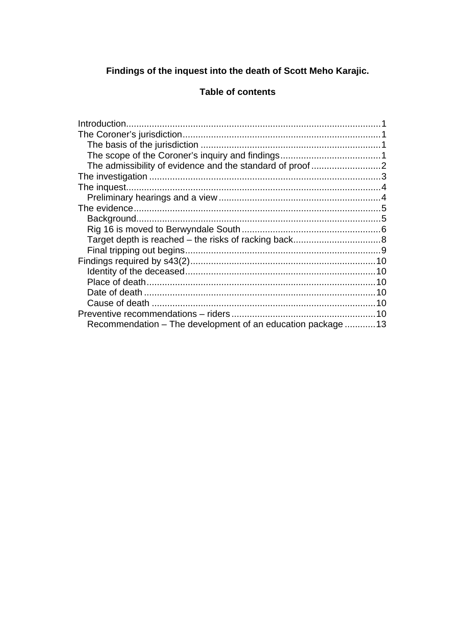## Findings of the inquest into the death of Scott Meho Karajic.

## **Table of contents**

|                                                             | 10 |
|-------------------------------------------------------------|----|
| Recommendation – The development of an education package 13 |    |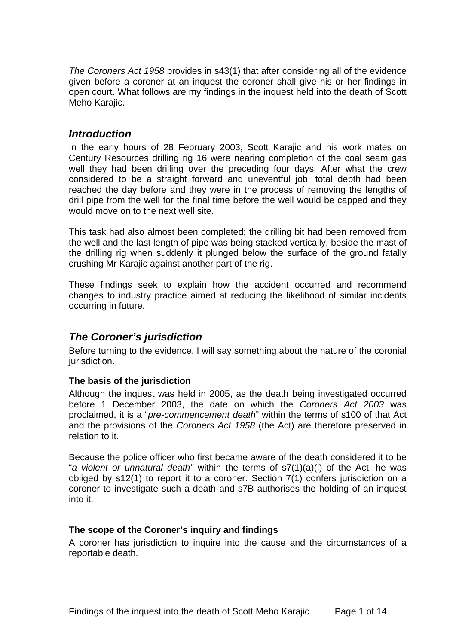<span id="page-2-0"></span>*The Coroners Act 1958* provides in s43(1) that after considering all of the evidence given before a coroner at an inquest the coroner shall give his or her findings in open court. What follows are my findings in the inquest held into the death of Scott Meho Karajic.

## *Introduction*

In the early hours of 28 February 2003, Scott Karajic and his work mates on Century Resources drilling rig 16 were nearing completion of the coal seam gas well they had been drilling over the preceding four days. After what the crew considered to be a straight forward and uneventful job, total depth had been reached the day before and they were in the process of removing the lengths of drill pipe from the well for the final time before the well would be capped and they would move on to the next well site.

This task had also almost been completed; the drilling bit had been removed from the well and the last length of pipe was being stacked vertically, beside the mast of the drilling rig when suddenly it plunged below the surface of the ground fatally crushing Mr Karajic against another part of the rig.

These findings seek to explain how the accident occurred and recommend changes to industry practice aimed at reducing the likelihood of similar incidents occurring in future.

## *The Coroner's jurisdiction*

Before turning to the evidence, I will say something about the nature of the coronial jurisdiction.

#### **The basis of the jurisdiction**

Although the inquest was held in 2005, as the death being investigated occurred before 1 December 2003, the date on which the *Coroners Act 2003* was proclaimed, it is a "*pre-commencement death*" within the terms of s100 of that Act and the provisions of the *Coroners Act 1958* (the Act) are therefore preserved in relation to it.

Because the police officer who first became aware of the death considered it to be "*a violent or unnatural death"* within the terms of s7(1)(a)(i) of the Act, he was obliged by s12(1) to report it to a coroner. Section 7(1) confers jurisdiction on a coroner to investigate such a death and s7B authorises the holding of an inquest into it.

#### **The scope of the Coroner's inquiry and findings**

A coroner has jurisdiction to inquire into the cause and the circumstances of a reportable death.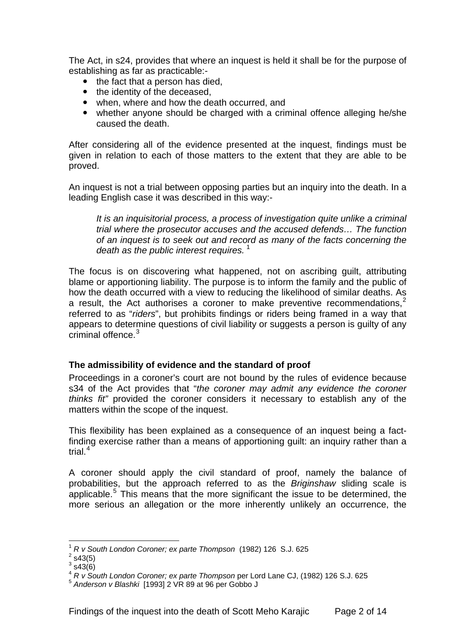<span id="page-3-0"></span>The Act, in s24, provides that where an inquest is held it shall be for the purpose of establishing as far as practicable:-

- $\bullet$  the fact that a person has died.
- the identity of the deceased.
- when, where and how the death occurred, and
- whether anyone should be charged with a criminal offence alleging he/she caused the death.

After considering all of the evidence presented at the inquest, findings must be given in relation to each of those matters to the extent that they are able to be proved.

An inquest is not a trial between opposing parties but an inquiry into the death. In a leading English case it was described in this way:-

*It is an inquisitorial process, a process of investigation quite unlike a criminal trial where the prosecutor accuses and the accused defends… The function of an inquest is to seek out and record as many of the facts concerning the*  death as the public interest requires.<sup>[1](#page-3-1)</sup>

The focus is on discovering what happened, not on ascribing guilt, attributing blame or apportioning liability. The purpose is to inform the family and the public of how the death occurred with a view to reducing the likelihood of similar deaths. As a result, the Act authorises a coroner to make preventive recommendations,<sup>[2](#page-3-2)</sup> referred to as "*riders*", but prohibits findings or riders being framed in a way that appears to determine questions of civil liability or suggests a person is guilty of any criminal offence  $3$ 

#### **The admissibility of evidence and the standard of proof**

Proceedings in a coroner's court are not bound by the rules of evidence because s34 of the Act provides that "*the coroner may admit any evidence the coroner thinks fit"* provided the coroner considers it necessary to establish any of the matters within the scope of the inquest.

This flexibility has been explained as a consequence of an inquest being a factfinding exercise rather than a means of apportioning guilt: an inquiry rather than a trial. $4$ 

A coroner should apply the civil standard of proof, namely the balance of probabilities, but the approach referred to as the *Briginshaw* sliding scale is applicable.<sup>[5](#page-3-5)</sup> This means that the more significant the issue to be determined, the more serious an allegation or the more inherently unlikely an occurrence, the

l <sup>1</sup> *R v South London Coroner; ex parte Thompson* (1982) 126 S.J. 625 2

<span id="page-3-2"></span><span id="page-3-1"></span> $2$  s43(5)

 $3\,$ s43(6)

<span id="page-3-4"></span><span id="page-3-3"></span><sup>4</sup> *R v South London Coroner; ex parte Thompson* per Lord Lane CJ, (1982) 126 S.J. 625

<span id="page-3-5"></span><sup>5</sup> *Anderson v Blashki* [1993] 2 VR 89 at 96 per Gobbo J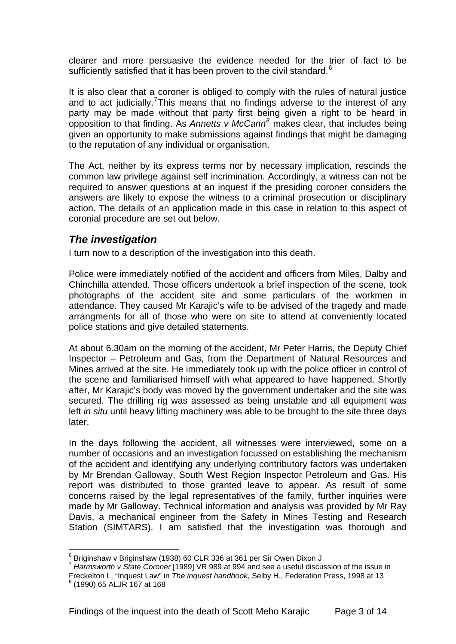<span id="page-4-0"></span>clearer and more persuasive the evidence needed for the trier of fact to be sufficiently satisfied that it has been proven to the civil standard.<sup>[6](#page-4-1)</sup>

It is also clear that a coroner is obliged to comply with the rules of natural justice and to act judicially.<sup>[7](#page-4-2)</sup> This means that no findings adverse to the interest of any party may be made without that party first being given a right to be heard in opposition to that finding. As *Annetts v McCann[8](#page-4-3)* makes clear, that includes being given an opportunity to make submissions against findings that might be damaging to the reputation of any individual or organisation.

The Act, neither by its express terms nor by necessary implication, rescinds the common law privilege against self incrimination. Accordingly, a witness can not be required to answer questions at an inquest if the presiding coroner considers the answers are likely to expose the witness to a criminal prosecution or disciplinary action. The details of an application made in this case in relation to this aspect of coronial procedure are set out below.

## *The investigation*

I turn now to a description of the investigation into this death.

Police were immediately notified of the accident and officers from Miles, Dalby and Chinchilla attended. Those officers undertook a brief inspection of the scene, took photographs of the accident site and some particulars of the workmen in attendance. They caused Mr Karajic's wife to be advised of the tragedy and made arrangments for all of those who were on site to attend at conveniently located police stations and give detailed statements.

At about 6.30am on the morning of the accident, Mr Peter Harris, the Deputy Chief Inspector – Petroleum and Gas, from the Department of Natural Resources and Mines arrived at the site. He immediately took up with the police officer in control of the scene and familiarised himself with what appeared to have happened. Shortly after, Mr Karajic's body was moved by the government undertaker and the site was secured. The drilling rig was assessed as being unstable and all equipment was left *in situ* until heavy lifting machinery was able to be brought to the site three days later.

In the days following the accident, all witnesses were interviewed, some on a number of occasions and an investigation focussed on establishing the mechanism of the accident and identifying any underlying contributory factors was undertaken by Mr Brendan Galloway, South West Region Inspector Petroleum and Gas. His report was distributed to those granted leave to appear. As result of some concerns raised by the legal representatives of the family, further inquiries were made by Mr Galloway. Technical information and analysis was provided by Mr Ray Davis, a mechanical engineer from the Safety in Mines Testing and Research Station (SIMTARS). I am satisfied that the investigation was thorough and

 6 Briginshaw v Briginshaw (1938) 60 CLR 336 at 361 per Sir Owen Dixon J

<span id="page-4-2"></span><span id="page-4-1"></span><sup>7</sup> *Harmsworth v State Coroner* [1989] VR 989 at 994 and see a useful discussion of the issue in

Freckelton I., "Inquest Law" in *The inquest handbook*, Selby H., Federation Press, 1998 at 13 8

<span id="page-4-3"></span> $<sup>8</sup>$  (1990) 65 ALJR 167 at 168</sup>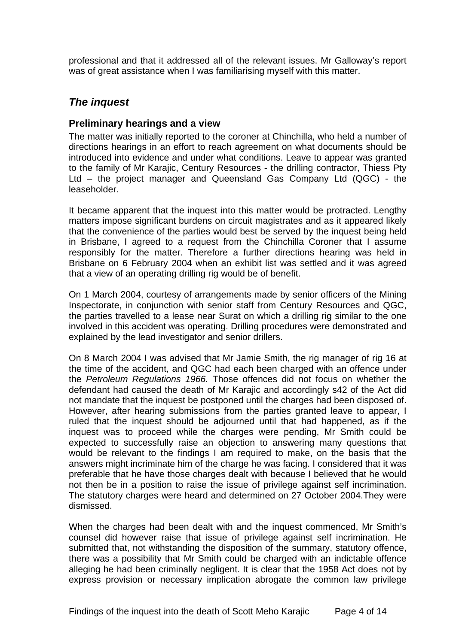<span id="page-5-0"></span>professional and that it addressed all of the relevant issues. Mr Galloway's report was of great assistance when I was familiarising myself with this matter.

## *The inquest*

## **Preliminary hearings and a view**

The matter was initially reported to the coroner at Chinchilla, who held a number of directions hearings in an effort to reach agreement on what documents should be introduced into evidence and under what conditions. Leave to appear was granted to the family of Mr Karajic, Century Resources - the drilling contractor, Thiess Pty Ltd – the project manager and Queensland Gas Company Ltd (QGC) - the leaseholder.

It became apparent that the inquest into this matter would be protracted. Lengthy matters impose significant burdens on circuit magistrates and as it appeared likely that the convenience of the parties would best be served by the inquest being held in Brisbane, I agreed to a request from the Chinchilla Coroner that I assume responsibly for the matter. Therefore a further directions hearing was held in Brisbane on 6 February 2004 when an exhibit list was settled and it was agreed that a view of an operating drilling rig would be of benefit.

On 1 March 2004, courtesy of arrangements made by senior officers of the Mining Inspectorate, in conjunction with senior staff from Century Resources and QGC, the parties travelled to a lease near Surat on which a drilling rig similar to the one involved in this accident was operating. Drilling procedures were demonstrated and explained by the lead investigator and senior drillers.

On 8 March 2004 I was advised that Mr Jamie Smith, the rig manager of rig 16 at the time of the accident, and QGC had each been charged with an offence under the *Petroleum Regulations 1966.* Those offences did not focus on whether the defendant had caused the death of Mr Karajic and accordingly s42 of the Act did not mandate that the inquest be postponed until the charges had been disposed of. However, after hearing submissions from the parties granted leave to appear, I ruled that the inquest should be adjourned until that had happened, as if the inquest was to proceed while the charges were pending, Mr Smith could be expected to successfully raise an objection to answering many questions that would be relevant to the findings I am required to make, on the basis that the answers might incriminate him of the charge he was facing. I considered that it was preferable that he have those charges dealt with because I believed that he would not then be in a position to raise the issue of privilege against self incrimination. The statutory charges were heard and determined on 27 October 2004.They were dismissed.

When the charges had been dealt with and the inquest commenced, Mr Smith's counsel did however raise that issue of privilege against self incrimination. He submitted that, not withstanding the disposition of the summary, statutory offence, there was a possibility that Mr Smith could be charged with an indictable offence alleging he had been criminally negligent. It is clear that the 1958 Act does not by express provision or necessary implication abrogate the common law privilege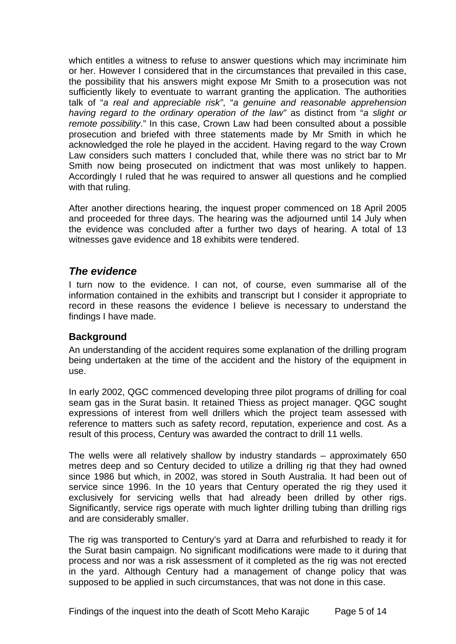<span id="page-6-0"></span>which entitles a witness to refuse to answer questions which may incriminate him or her. However I considered that in the circumstances that prevailed in this case, the possibility that his answers might expose Mr Smith to a prosecution was not sufficiently likely to eventuate to warrant granting the application. The authorities talk of "*a real and appreciable risk"*, "*a genuine and reasonable apprehension having regard to the ordinary operation of the law"* as distinct from "*a slight or remote possibility*." In this case, Crown Law had been consulted about a possible prosecution and briefed with three statements made by Mr Smith in which he acknowledged the role he played in the accident. Having regard to the way Crown Law considers such matters I concluded that, while there was no strict bar to Mr Smith now being prosecuted on indictment that was most unlikely to happen. Accordingly I ruled that he was required to answer all questions and he complied with that ruling.

After another directions hearing, the inquest proper commenced on 18 April 2005 and proceeded for three days. The hearing was the adjourned until 14 July when the evidence was concluded after a further two days of hearing. A total of 13 witnesses gave evidence and 18 exhibits were tendered.

## *The evidence*

I turn now to the evidence. I can not, of course, even summarise all of the information contained in the exhibits and transcript but I consider it appropriate to record in these reasons the evidence I believe is necessary to understand the findings I have made.

## **Background**

An understanding of the accident requires some explanation of the drilling program being undertaken at the time of the accident and the history of the equipment in use.

In early 2002, QGC commenced developing three pilot programs of drilling for coal seam gas in the Surat basin. It retained Thiess as project manager. QGC sought expressions of interest from well drillers which the project team assessed with reference to matters such as safety record, reputation, experience and cost. As a result of this process, Century was awarded the contract to drill 11 wells.

The wells were all relatively shallow by industry standards – approximately 650 metres deep and so Century decided to utilize a drilling rig that they had owned since 1986 but which, in 2002, was stored in South Australia. It had been out of service since 1996. In the 10 years that Century operated the rig they used it exclusively for servicing wells that had already been drilled by other rigs. Significantly, service rigs operate with much lighter drilling tubing than drilling rigs and are considerably smaller.

The rig was transported to Century's yard at Darra and refurbished to ready it for the Surat basin campaign. No significant modifications were made to it during that process and nor was a risk assessment of it completed as the rig was not erected in the yard. Although Century had a management of change policy that was supposed to be applied in such circumstances, that was not done in this case.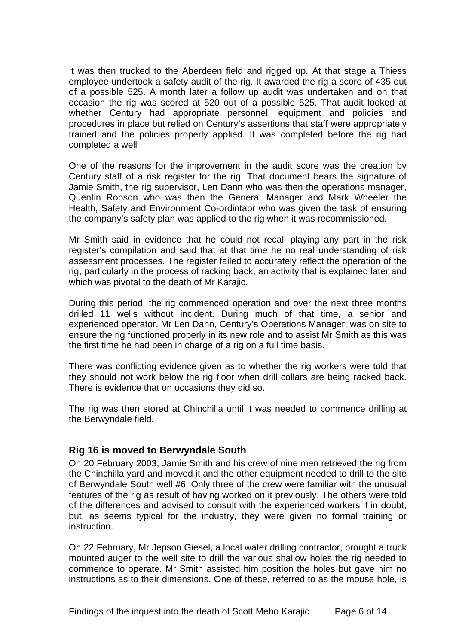<span id="page-7-0"></span>It was then trucked to the Aberdeen field and rigged up. At that stage a Thiess employee undertook a safety audit of the rig. It awarded the rig a score of 435 out of a possible 525. A month later a follow up audit was undertaken and on that occasion the rig was scored at 520 out of a possible 525. That audit looked at whether Century had appropriate personnel, equipment and policies and procedures in place but relied on Century's assertions that staff were appropriately trained and the policies properly applied. It was completed before the rig had completed a well

One of the reasons for the improvement in the audit score was the creation by Century staff of a risk register for the rig. That document bears the signature of Jamie Smith, the rig supervisor, Len Dann who was then the operations manager, Quentin Robson who was then the General Manager and Mark Wheeler the Health, Safety and Environment Co-ordintaor who was given the task of ensuring the company's safety plan was applied to the rig when it was recommissioned.

Mr Smith said in evidence that he could not recall playing any part in the risk register's compilation and said that at that time he no real understanding of risk assessment processes. The register failed to accurately reflect the operation of the rig, particularly in the process of racking back, an activity that is explained later and which was pivotal to the death of Mr Karajic.

During this period, the rig commenced operation and over the next three months drilled 11 wells without incident. During much of that time, a senior and experienced operator, Mr Len Dann, Century's Operations Manager, was on site to ensure the rig functioned properly in its new role and to assist Mr Smith as this was the first time he had been in charge of a rig on a full time basis.

There was conflicting evidence given as to whether the rig workers were told that they should not work below the rig floor when drill collars are being racked back. There is evidence that on occasions they did so.

The rig was then stored at Chinchilla until it was needed to commence drilling at the Berwyndale field.

#### **Rig 16 is moved to Berwyndale South**

On 20 February 2003, Jamie Smith and his crew of nine men retrieved the rig from the Chinchilla yard and moved it and the other equipment needed to drill to the site of Berwyndale South well #6. Only three of the crew were familiar with the unusual features of the rig as result of having worked on it previously. The others were told of the differences and advised to consult with the experienced workers if in doubt, but, as seems typical for the industry, they were given no formal training or instruction.

On 22 February, Mr Jepson Giesel, a local water drilling contractor, brought a truck mounted auger to the well site to drill the various shallow holes the rig needed to commence to operate. Mr Smith assisted him position the holes but gave him no instructions as to their dimensions. One of these, referred to as the mouse hole, is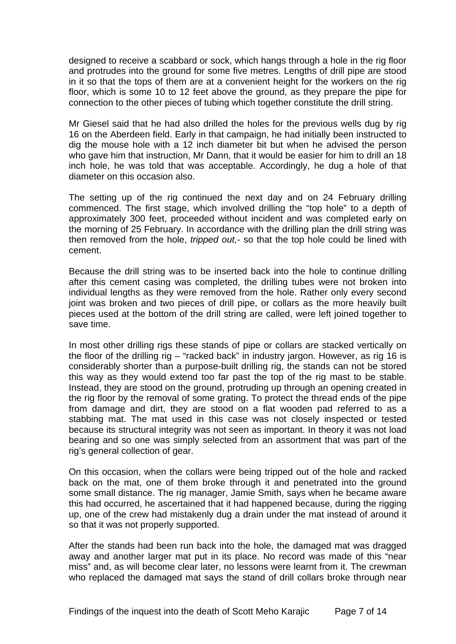designed to receive a scabbard or sock, which hangs through a hole in the rig floor and protrudes into the ground for some five metres. Lengths of drill pipe are stood in it so that the tops of them are at a convenient height for the workers on the rig floor, which is some 10 to 12 feet above the ground, as they prepare the pipe for connection to the other pieces of tubing which together constitute the drill string.

Mr Giesel said that he had also drilled the holes for the previous wells dug by rig 16 on the Aberdeen field. Early in that campaign, he had initially been instructed to dig the mouse hole with a 12 inch diameter bit but when he advised the person who gave him that instruction. Mr Dann, that it would be easier for him to drill an 18 inch hole, he was told that was acceptable. Accordingly, he dug a hole of that diameter on this occasion also.

The setting up of the rig continued the next day and on 24 February drilling commenced. The first stage, which involved drilling the "top hole" to a depth of approximately 300 feet, proceeded without incident and was completed early on the morning of 25 February. In accordance with the drilling plan the drill string was then removed from the hole, *tripped out,*- so that the top hole could be lined with cement.

Because the drill string was to be inserted back into the hole to continue drilling after this cement casing was completed, the drilling tubes were not broken into individual lengths as they were removed from the hole. Rather only every second joint was broken and two pieces of drill pipe, or collars as the more heavily built pieces used at the bottom of the drill string are called, were left joined together to save time.

In most other drilling rigs these stands of pipe or collars are stacked vertically on the floor of the drilling rig – "racked back" in industry jargon. However, as rig 16 is considerably shorter than a purpose-built drilling rig, the stands can not be stored this way as they would extend too far past the top of the rig mast to be stable. Instead, they are stood on the ground, protruding up through an opening created in the rig floor by the removal of some grating. To protect the thread ends of the pipe from damage and dirt, they are stood on a flat wooden pad referred to as a stabbing mat. The mat used in this case was not closely inspected or tested because its structural integrity was not seen as important. In theory it was not load bearing and so one was simply selected from an assortment that was part of the rig's general collection of gear.

On this occasion, when the collars were being tripped out of the hole and racked back on the mat, one of them broke through it and penetrated into the ground some small distance. The rig manager, Jamie Smith, says when he became aware this had occurred, he ascertained that it had happened because, during the rigging up, one of the crew had mistakenly dug a drain under the mat instead of around it so that it was not properly supported.

After the stands had been run back into the hole, the damaged mat was dragged away and another larger mat put in its place. No record was made of this "near miss" and, as will become clear later, no lessons were learnt from it. The crewman who replaced the damaged mat says the stand of drill collars broke through near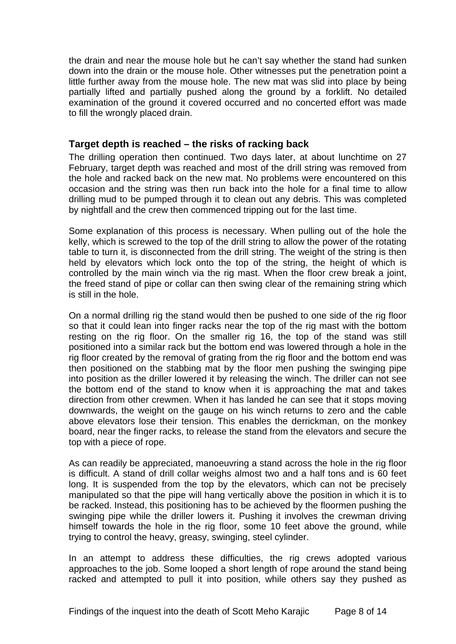<span id="page-9-0"></span>the drain and near the mouse hole but he can't say whether the stand had sunken down into the drain or the mouse hole. Other witnesses put the penetration point a little further away from the mouse hole. The new mat was slid into place by being partially lifted and partially pushed along the ground by a forklift. No detailed examination of the ground it covered occurred and no concerted effort was made to fill the wrongly placed drain.

#### **Target depth is reached – the risks of racking back**

The drilling operation then continued. Two days later, at about lunchtime on 27 February, target depth was reached and most of the drill string was removed from the hole and racked back on the new mat. No problems were encountered on this occasion and the string was then run back into the hole for a final time to allow drilling mud to be pumped through it to clean out any debris. This was completed by nightfall and the crew then commenced tripping out for the last time.

Some explanation of this process is necessary. When pulling out of the hole the kelly, which is screwed to the top of the drill string to allow the power of the rotating table to turn it, is disconnected from the drill string. The weight of the string is then held by elevators which lock onto the top of the string, the height of which is controlled by the main winch via the rig mast. When the floor crew break a joint, the freed stand of pipe or collar can then swing clear of the remaining string which is still in the hole.

On a normal drilling rig the stand would then be pushed to one side of the rig floor so that it could lean into finger racks near the top of the rig mast with the bottom resting on the rig floor. On the smaller rig 16, the top of the stand was still positioned into a similar rack but the bottom end was lowered through a hole in the rig floor created by the removal of grating from the rig floor and the bottom end was then positioned on the stabbing mat by the floor men pushing the swinging pipe into position as the driller lowered it by releasing the winch. The driller can not see the bottom end of the stand to know when it is approaching the mat and takes direction from other crewmen. When it has landed he can see that it stops moving downwards, the weight on the gauge on his winch returns to zero and the cable above elevators lose their tension. This enables the derrickman, on the monkey board, near the finger racks, to release the stand from the elevators and secure the top with a piece of rope.

As can readily be appreciated, manoeuvring a stand across the hole in the rig floor is difficult. A stand of drill collar weighs almost two and a half tons and is 60 feet long. It is suspended from the top by the elevators, which can not be precisely manipulated so that the pipe will hang vertically above the position in which it is to be racked. Instead, this positioning has to be achieved by the floormen pushing the swinging pipe while the driller lowers it. Pushing it involves the crewman driving himself towards the hole in the rig floor, some 10 feet above the ground, while trying to control the heavy, greasy, swinging, steel cylinder.

In an attempt to address these difficulties, the rig crews adopted various approaches to the job. Some looped a short length of rope around the stand being racked and attempted to pull it into position, while others say they pushed as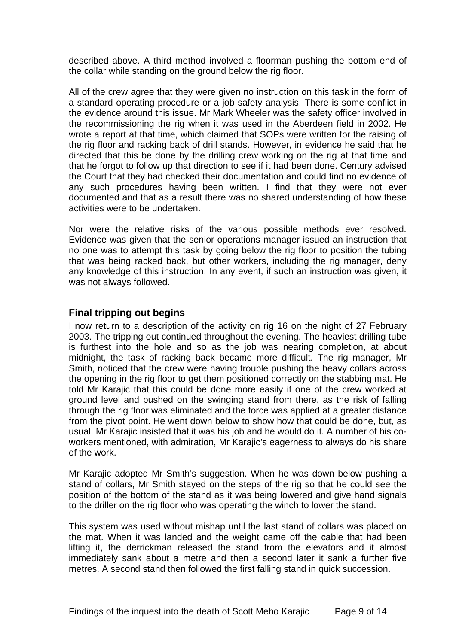<span id="page-10-0"></span>described above. A third method involved a floorman pushing the bottom end of the collar while standing on the ground below the rig floor.

All of the crew agree that they were given no instruction on this task in the form of a standard operating procedure or a job safety analysis. There is some conflict in the evidence around this issue. Mr Mark Wheeler was the safety officer involved in the recommissioning the rig when it was used in the Aberdeen field in 2002. He wrote a report at that time, which claimed that SOPs were written for the raising of the rig floor and racking back of drill stands. However, in evidence he said that he directed that this be done by the drilling crew working on the rig at that time and that he forgot to follow up that direction to see if it had been done. Century advised the Court that they had checked their documentation and could find no evidence of any such procedures having been written. I find that they were not ever documented and that as a result there was no shared understanding of how these activities were to be undertaken.

Nor were the relative risks of the various possible methods ever resolved. Evidence was given that the senior operations manager issued an instruction that no one was to attempt this task by going below the rig floor to position the tubing that was being racked back, but other workers, including the rig manager, deny any knowledge of this instruction. In any event, if such an instruction was given, it was not always followed.

## **Final tripping out begins**

I now return to a description of the activity on rig 16 on the night of 27 February 2003. The tripping out continued throughout the evening. The heaviest drilling tube is furthest into the hole and so as the job was nearing completion, at about midnight, the task of racking back became more difficult. The rig manager, Mr Smith, noticed that the crew were having trouble pushing the heavy collars across the opening in the rig floor to get them positioned correctly on the stabbing mat. He told Mr Karajic that this could be done more easily if one of the crew worked at ground level and pushed on the swinging stand from there, as the risk of falling through the rig floor was eliminated and the force was applied at a greater distance from the pivot point. He went down below to show how that could be done, but, as usual, Mr Karajic insisted that it was his job and he would do it. A number of his coworkers mentioned, with admiration, Mr Karajic's eagerness to always do his share of the work.

Mr Karajic adopted Mr Smith's suggestion. When he was down below pushing a stand of collars, Mr Smith stayed on the steps of the rig so that he could see the position of the bottom of the stand as it was being lowered and give hand signals to the driller on the rig floor who was operating the winch to lower the stand.

This system was used without mishap until the last stand of collars was placed on the mat. When it was landed and the weight came off the cable that had been lifting it, the derrickman released the stand from the elevators and it almost immediately sank about a metre and then a second later it sank a further five metres. A second stand then followed the first falling stand in quick succession.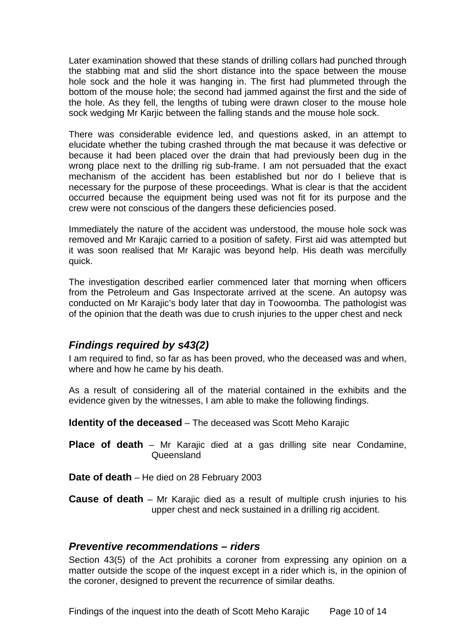<span id="page-11-0"></span>Later examination showed that these stands of drilling collars had punched through the stabbing mat and slid the short distance into the space between the mouse hole sock and the hole it was hanging in. The first had plummeted through the bottom of the mouse hole; the second had jammed against the first and the side of the hole. As they fell, the lengths of tubing were drawn closer to the mouse hole sock wedging Mr Karjic between the falling stands and the mouse hole sock.

There was considerable evidence led, and questions asked, in an attempt to elucidate whether the tubing crashed through the mat because it was defective or because it had been placed over the drain that had previously been dug in the wrong place next to the drilling rig sub-frame. I am not persuaded that the exact mechanism of the accident has been established but nor do I believe that is necessary for the purpose of these proceedings. What is clear is that the accident occurred because the equipment being used was not fit for its purpose and the crew were not conscious of the dangers these deficiencies posed.

Immediately the nature of the accident was understood, the mouse hole sock was removed and Mr Karajic carried to a position of safety. First aid was attempted but it was soon realised that Mr Karajic was beyond help. His death was mercifully quick.

The investigation described earlier commenced later that morning when officers from the Petroleum and Gas Inspectorate arrived at the scene. An autopsy was conducted on Mr Karajic's body later that day in Toowoomba. The pathologist was of the opinion that the death was due to crush injuries to the upper chest and neck

## *Findings required by s43(2)*

I am required to find, so far as has been proved, who the deceased was and when, where and how he came by his death.

As a result of considering all of the material contained in the exhibits and the evidence given by the witnesses, I am able to make the following findings.

**Identity of the deceased** – The deceased was Scott Meho Karajic

**Place of death** – Mr Karajic died at a gas drilling site near Condamine, Queensland

**Date of death** – He died on 28 February 2003

**Cause of death** – Mr Karajic died as a result of multiple crush injuries to his upper chest and neck sustained in a drilling rig accident.

## *Preventive recommendations – riders*

Section 43(5) of the Act prohibits a coroner from expressing any opinion on a matter outside the scope of the inquest except in a rider which is, in the opinion of the coroner, designed to prevent the recurrence of similar deaths.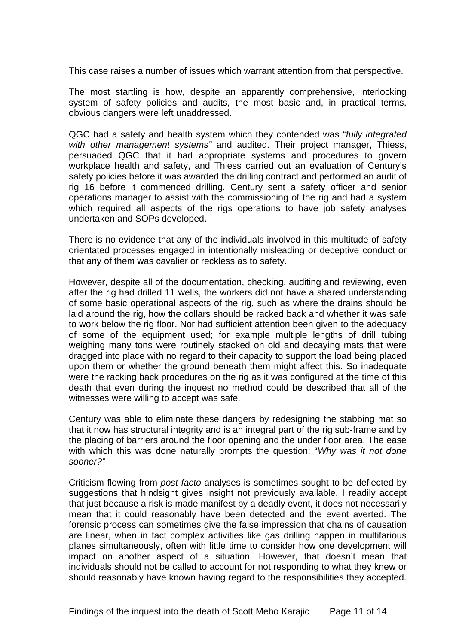This case raises a number of issues which warrant attention from that perspective.

The most startling is how, despite an apparently comprehensive, interlocking system of safety policies and audits, the most basic and, in practical terms, obvious dangers were left unaddressed.

QGC had a safety and health system which they contended was "*fully integrated with other management systems"* and audited. Their project manager, Thiess, persuaded QGC that it had appropriate systems and procedures to govern workplace health and safety, and Thiess carried out an evaluation of Century's safety policies before it was awarded the drilling contract and performed an audit of rig 16 before it commenced drilling. Century sent a safety officer and senior operations manager to assist with the commissioning of the rig and had a system which required all aspects of the rigs operations to have job safety analyses undertaken and SOPs developed.

There is no evidence that any of the individuals involved in this multitude of safety orientated processes engaged in intentionally misleading or deceptive conduct or that any of them was cavalier or reckless as to safety.

However, despite all of the documentation, checking, auditing and reviewing, even after the rig had drilled 11 wells, the workers did not have a shared understanding of some basic operational aspects of the rig, such as where the drains should be laid around the rig, how the collars should be racked back and whether it was safe to work below the rig floor. Nor had sufficient attention been given to the adequacy of some of the equipment used; for example multiple lengths of drill tubing weighing many tons were routinely stacked on old and decaying mats that were dragged into place with no regard to their capacity to support the load being placed upon them or whether the ground beneath them might affect this. So inadequate were the racking back procedures on the rig as it was configured at the time of this death that even during the inquest no method could be described that all of the witnesses were willing to accept was safe.

Century was able to eliminate these dangers by redesigning the stabbing mat so that it now has structural integrity and is an integral part of the rig sub-frame and by the placing of barriers around the floor opening and the under floor area. The ease with which this was done naturally prompts the question: "*Why was it not done sooner?"*

Criticism flowing from *post facto* analyses is sometimes sought to be deflected by suggestions that hindsight gives insight not previously available. I readily accept that just because a risk is made manifest by a deadly event, it does not necessarily mean that it could reasonably have been detected and the event averted. The forensic process can sometimes give the false impression that chains of causation are linear, when in fact complex activities like gas drilling happen in multifarious planes simultaneously, often with little time to consider how one development will impact on another aspect of a situation. However, that doesn't mean that individuals should not be called to account for not responding to what they knew or should reasonably have known having regard to the responsibilities they accepted.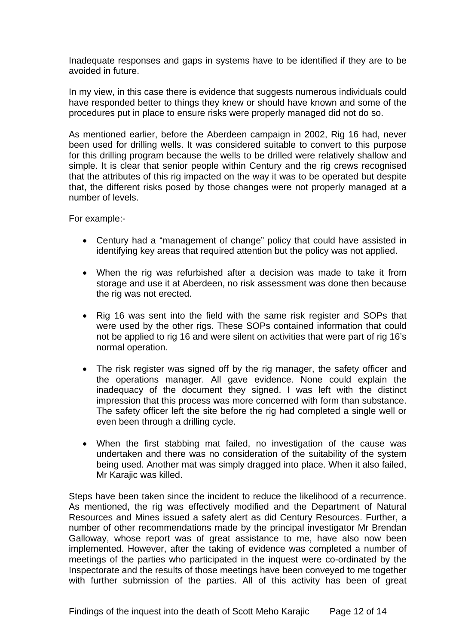Inadequate responses and gaps in systems have to be identified if they are to be avoided in future.

In my view, in this case there is evidence that suggests numerous individuals could have responded better to things they knew or should have known and some of the procedures put in place to ensure risks were properly managed did not do so.

As mentioned earlier, before the Aberdeen campaign in 2002, Rig 16 had, never been used for drilling wells. It was considered suitable to convert to this purpose for this drilling program because the wells to be drilled were relatively shallow and simple. It is clear that senior people within Century and the rig crews recognised that the attributes of this rig impacted on the way it was to be operated but despite that, the different risks posed by those changes were not properly managed at a number of levels.

For example:-

- Century had a "management of change" policy that could have assisted in identifying key areas that required attention but the policy was not applied.
- When the rig was refurbished after a decision was made to take it from storage and use it at Aberdeen, no risk assessment was done then because the rig was not erected.
- Rig 16 was sent into the field with the same risk register and SOPs that were used by the other rigs. These SOPs contained information that could not be applied to rig 16 and were silent on activities that were part of rig 16's normal operation.
- The risk register was signed off by the rig manager, the safety officer and the operations manager. All gave evidence. None could explain the inadequacy of the document they signed. I was left with the distinct impression that this process was more concerned with form than substance. The safety officer left the site before the rig had completed a single well or even been through a drilling cycle.
- When the first stabbing mat failed, no investigation of the cause was undertaken and there was no consideration of the suitability of the system being used. Another mat was simply dragged into place. When it also failed, Mr Karajic was killed.

Steps have been taken since the incident to reduce the likelihood of a recurrence. As mentioned, the rig was effectively modified and the Department of Natural Resources and Mines issued a safety alert as did Century Resources. Further, a number of other recommendations made by the principal investigator Mr Brendan Galloway, whose report was of great assistance to me, have also now been implemented. However, after the taking of evidence was completed a number of meetings of the parties who participated in the inquest were co-ordinated by the Inspectorate and the results of those meetings have been conveyed to me together with further submission of the parties. All of this activity has been of great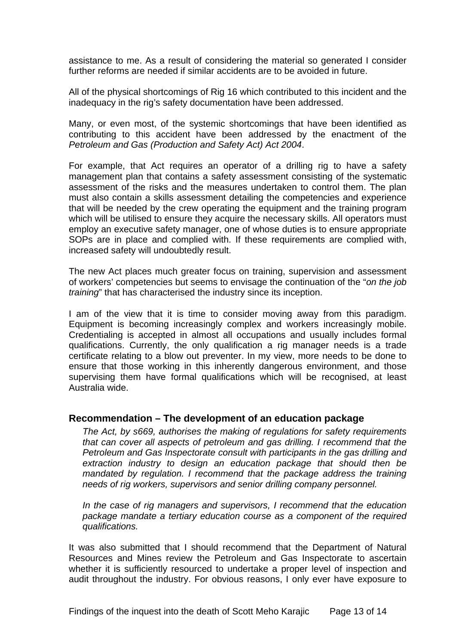<span id="page-14-0"></span>assistance to me. As a result of considering the material so generated I consider further reforms are needed if similar accidents are to be avoided in future.

All of the physical shortcomings of Rig 16 which contributed to this incident and the inadequacy in the rig's safety documentation have been addressed.

Many, or even most, of the systemic shortcomings that have been identified as contributing to this accident have been addressed by the enactment of the *Petroleum and Gas (Production and Safety Act) Act 2004*.

For example, that Act requires an operator of a drilling rig to have a safety management plan that contains a safety assessment consisting of the systematic assessment of the risks and the measures undertaken to control them. The plan must also contain a skills assessment detailing the competencies and experience that will be needed by the crew operating the equipment and the training program which will be utilised to ensure they acquire the necessary skills. All operators must employ an executive safety manager, one of whose duties is to ensure appropriate SOPs are in place and complied with. If these requirements are complied with, increased safety will undoubtedly result.

The new Act places much greater focus on training, supervision and assessment of workers' competencies but seems to envisage the continuation of the "*on the job training*" that has characterised the industry since its inception.

I am of the view that it is time to consider moving away from this paradigm. Equipment is becoming increasingly complex and workers increasingly mobile. Credentialing is accepted in almost all occupations and usually includes formal qualifications. Currently, the only qualification a rig manager needs is a trade certificate relating to a blow out preventer. In my view, more needs to be done to ensure that those working in this inherently dangerous environment, and those supervising them have formal qualifications which will be recognised, at least Australia wide.

#### **Recommendation – The development of an education package**

*The Act, by s669, authorises the making of regulations for safety requirements that can cover all aspects of petroleum and gas drilling. I recommend that the Petroleum and Gas Inspectorate consult with participants in the gas drilling and extraction industry to design an education package that should then be mandated by regulation. I recommend that the package address the training needs of rig workers, supervisors and senior drilling company personnel.* 

*In the case of rig managers and supervisors, I recommend that the education package mandate a tertiary education course as a component of the required qualifications.* 

It was also submitted that I should recommend that the Department of Natural Resources and Mines review the Petroleum and Gas Inspectorate to ascertain whether it is sufficiently resourced to undertake a proper level of inspection and audit throughout the industry. For obvious reasons, I only ever have exposure to